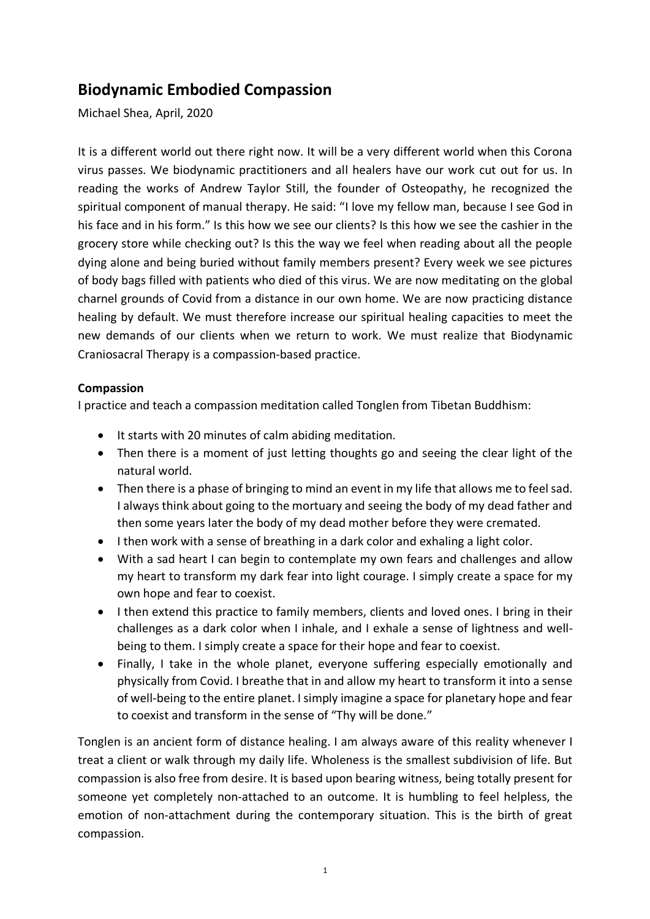# **Biodynamic Embodied Compassion**

Michael Shea, April, 2020

It is a different world out there right now. It will be a very different world when this Corona virus passes. We biodynamic practitioners and all healers have our work cut out for us. In reading the works of Andrew Taylor Still, the founder of Osteopathy, he recognized the spiritual component of manual therapy. He said: "I love my fellow man, because I see God in his face and in his form." Is this how we see our clients? Is this how we see the cashier in the grocery store while checking out? Is this the way we feel when reading about all the people dying alone and being buried without family members present? Every week we see pictures of body bags filled with patients who died of this virus. We are now meditating on the global charnel grounds of Covid from a distance in our own home. We are now practicing distance healing by default. We must therefore increase our spiritual healing capacities to meet the new demands of our clients when we return to work. We must realize that Biodynamic Craniosacral Therapy is a compassion-based practice.

## **Compassion**

I practice and teach a compassion meditation called Tonglen from Tibetan Buddhism:

- It starts with 20 minutes of calm abiding meditation.
- Then there is a moment of just letting thoughts go and seeing the clear light of the natural world.
- Then there is a phase of bringing to mind an event in my life that allows me to feel sad. I always think about going to the mortuary and seeing the body of my dead father and then some years later the body of my dead mother before they were cremated.
- I then work with a sense of breathing in a dark color and exhaling a light color.
- With a sad heart I can begin to contemplate my own fears and challenges and allow my heart to transform my dark fear into light courage. I simply create a space for my own hope and fear to coexist.
- I then extend this practice to family members, clients and loved ones. I bring in their challenges as a dark color when I inhale, and I exhale a sense of lightness and wellbeing to them. I simply create a space for their hope and fear to coexist.
- Finally, I take in the whole planet, everyone suffering especially emotionally and physically from Covid. I breathe that in and allow my heart to transform it into a sense of well-being to the entire planet. I simply imagine a space for planetary hope and fear to coexist and transform in the sense of "Thy will be done."

Tonglen is an ancient form of distance healing. I am always aware of this reality whenever I treat a client or walk through my daily life. Wholeness is the smallest subdivision of life. But compassion is also free from desire. It is based upon bearing witness, being totally present for someone yet completely non-attached to an outcome. It is humbling to feel helpless, the emotion of non-attachment during the contemporary situation. This is the birth of great compassion.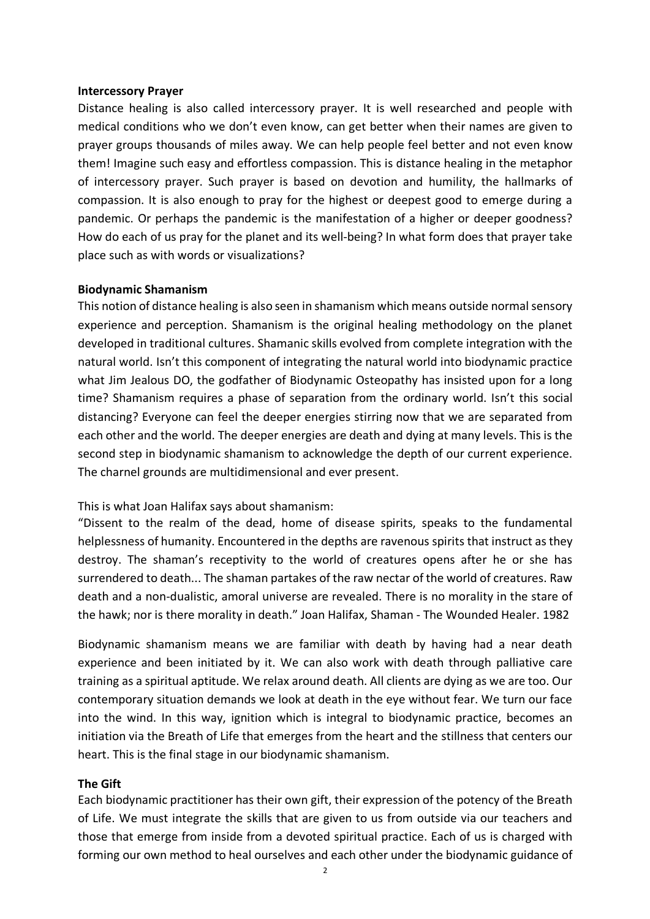#### **Intercessory Prayer**

Distance healing is also called intercessory prayer. It is well researched and people with medical conditions who we don't even know, can get better when their names are given to prayer groups thousands of miles away. We can help people feel better and not even know them! Imagine such easy and effortless compassion. This is distance healing in the metaphor of intercessory prayer. Such prayer is based on devotion and humility, the hallmarks of compassion. It is also enough to pray for the highest or deepest good to emerge during a pandemic. Or perhaps the pandemic is the manifestation of a higher or deeper goodness? How do each of us pray for the planet and its well-being? In what form does that prayer take place such as with words or visualizations?

### **Biodynamic Shamanism**

This notion of distance healing is also seen in shamanism which means outside normal sensory experience and perception. Shamanism is the original healing methodology on the planet developed in traditional cultures. Shamanic skills evolved from complete integration with the natural world. Isn't this component of integrating the natural world into biodynamic practice what Jim Jealous DO, the godfather of Biodynamic Osteopathy has insisted upon for a long time? Shamanism requires a phase of separation from the ordinary world. Isn't this social distancing? Everyone can feel the deeper energies stirring now that we are separated from each other and the world. The deeper energies are death and dying at many levels. This is the second step in biodynamic shamanism to acknowledge the depth of our current experience. The charnel grounds are multidimensional and ever present.

### This is what Joan Halifax says about shamanism:

"Dissent to the realm of the dead, home of disease spirits, speaks to the fundamental helplessness of humanity. Encountered in the depths are ravenous spirits that instruct as they destroy. The shaman's receptivity to the world of creatures opens after he or she has surrendered to death... The shaman partakes of the raw nectar of the world of creatures. Raw death and a non-dualistic, amoral universe are revealed. There is no morality in the stare of the hawk; nor is there morality in death." Joan Halifax, Shaman - The Wounded Healer. 1982

Biodynamic shamanism means we are familiar with death by having had a near death experience and been initiated by it. We can also work with death through palliative care training as a spiritual aptitude. We relax around death. All clients are dying as we are too. Our contemporary situation demands we look at death in the eye without fear. We turn our face into the wind. In this way, ignition which is integral to biodynamic practice, becomes an initiation via the Breath of Life that emerges from the heart and the stillness that centers our heart. This is the final stage in our biodynamic shamanism.

### **The Gift**

Each biodynamic practitioner has their own gift, their expression of the potency of the Breath of Life. We must integrate the skills that are given to us from outside via our teachers and those that emerge from inside from a devoted spiritual practice. Each of us is charged with forming our own method to heal ourselves and each other under the biodynamic guidance of